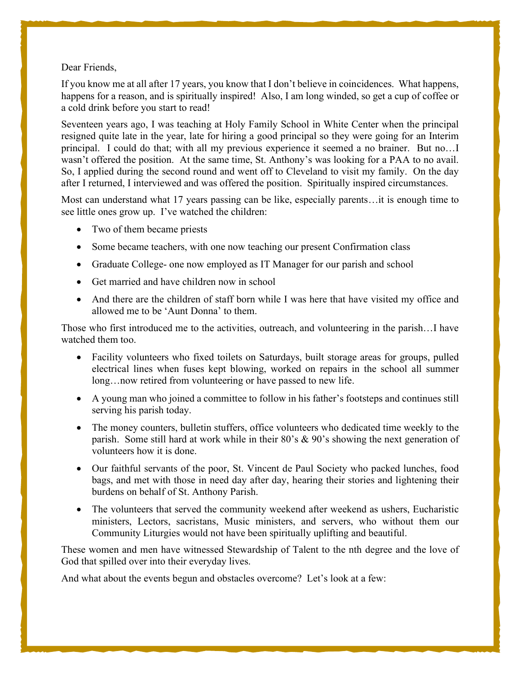## Dear Friends,

If you know me at all after 17 years, you know that I don't believe in coincidences. What happens, happens for a reason, and is spiritually inspired! Also, I am long winded, so get a cup of coffee or a cold drink before you start to read!

Seventeen years ago, I was teaching at Holy Family School in White Center when the principal resigned quite late in the year, late for hiring a good principal so they were going for an Interim principal. I could do that; with all my previous experience it seemed a no brainer. But no…I wasn't offered the position. At the same time, St. Anthony's was looking for a PAA to no avail. So, I applied during the second round and went off to Cleveland to visit my family. On the day after I returned, I interviewed and was offered the position. Spiritually inspired circumstances.

Most can understand what 17 years passing can be like, especially parents…it is enough time to see little ones grow up. I've watched the children:

- Two of them became priests
- Some became teachers, with one now teaching our present Confirmation class
- Graduate College- one now employed as IT Manager for our parish and school
- Get married and have children now in school
- And there are the children of staff born while I was here that have visited my office and allowed me to be 'Aunt Donna' to them.

Those who first introduced me to the activities, outreach, and volunteering in the parish…I have watched them too.

- Facility volunteers who fixed toilets on Saturdays, built storage areas for groups, pulled electrical lines when fuses kept blowing, worked on repairs in the school all summer long…now retired from volunteering or have passed to new life.
- A young man who joined a committee to follow in his father's footsteps and continues still serving his parish today.
- The money counters, bulletin stuffers, office volunteers who dedicated time weekly to the parish. Some still hard at work while in their 80's & 90's showing the next generation of volunteers how it is done.
- Our faithful servants of the poor, St. Vincent de Paul Society who packed lunches, food bags, and met with those in need day after day, hearing their stories and lightening their burdens on behalf of St. Anthony Parish.
- The volunteers that served the community weekend after weekend as ushers, Eucharistic ministers, Lectors, sacristans, Music ministers, and servers, who without them our Community Liturgies would not have been spiritually uplifting and beautiful.

These women and men have witnessed Stewardship of Talent to the nth degree and the love of God that spilled over into their everyday lives.

And what about the events begun and obstacles overcome? Let's look at a few: